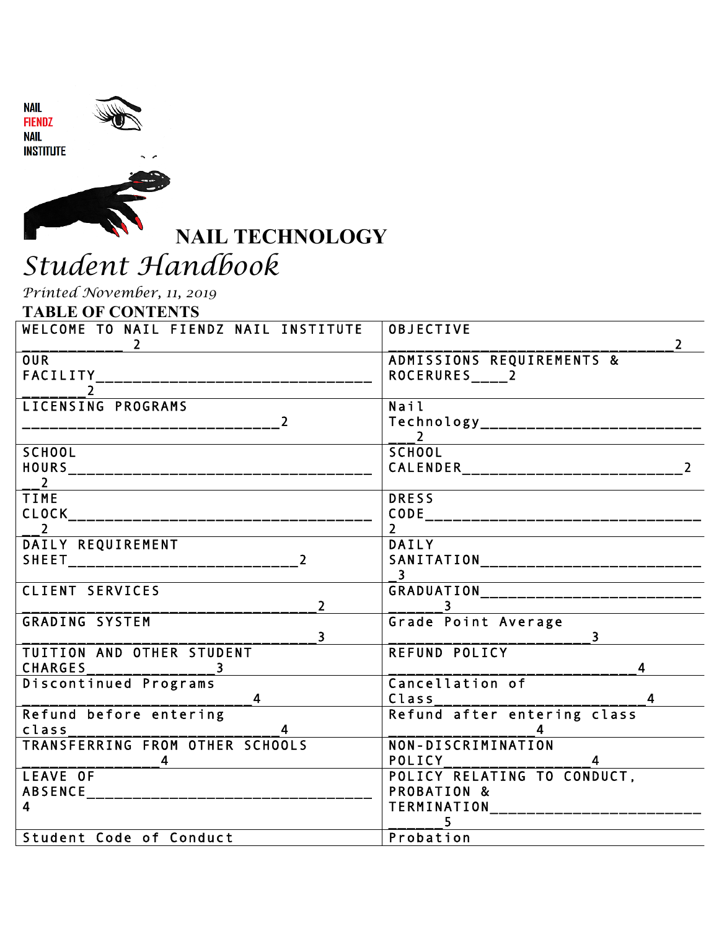



**INSTITUTE** 



**NAIL TECHNOLOGY** 

# *Student Handbook*

*Printed November, 11, 2019* 

**TABLE OF CONTENTS** 

| WELCOME TO NAIL FIENDZ NAIL INSTITUTE                                                      | OBJECTIVE                                                                          |
|--------------------------------------------------------------------------------------------|------------------------------------------------------------------------------------|
| $\overline{2}$                                                                             | $\mathbf{2}^{\prime}$                                                              |
| <b>OUR</b>                                                                                 | ADMISSIONS REQUIREMENTS &                                                          |
| FACILITY__________________________________                                                 |                                                                                    |
| LICENSING PROGRAMS<br>----------------------------- <sup>2</sup>                           | Nail<br>Technology____________________________                                     |
| <b>SCHOOL</b><br><b>HOURS</b><br>______________________________<br>$\overline{\mathbf{2}}$ | <b>SCHOOL</b>                                                                      |
| <b>TIME</b>                                                                                | <b>DRESS</b>                                                                       |
|                                                                                            |                                                                                    |
| $\overline{\phantom{a}}$                                                                   | $2^{\circ}$                                                                        |
| DAILY REQUIREMENT                                                                          | <b>DAILY</b><br>SANITATION_____________________________<br>$\overline{\mathbf{3}}$ |
| CLIENT SERVICES                                                                            | GRADUATION_____________________________                                            |
| $\overline{2}$                                                                             | $\sim$ 3                                                                           |
| <b>GRADING SYSTEM</b>                                                                      | Grade Point Average                                                                |
| $\overline{\mathbf{3}}$                                                                    | $\overline{\mathbf{3}}$                                                            |
| TUITION AND OTHER STUDENT                                                                  | REFUND POLICY                                                                      |
| <b>CHARGES</b>                                                                             | 4                                                                                  |
| Discontinued Programs                                                                      | Cancellation of                                                                    |
| $\overline{4}$                                                                             | $\overline{4}$                                                                     |
| Refund before entering                                                                     | Class__________________________<br>Refund after entering class                     |
| TRANSFERRING FROM OTHER SCHOOLS                                                            | NON-DISCRIMINATION<br><b>POLICY</b>                                                |
| LEAVE OF                                                                                   | POLICY RELATING TO CONDUCT,                                                        |
|                                                                                            | PROBATION &                                                                        |
| 4                                                                                          | <b>TERMINATION</b>                                                                 |
| Student Code of Conduct                                                                    | Probation                                                                          |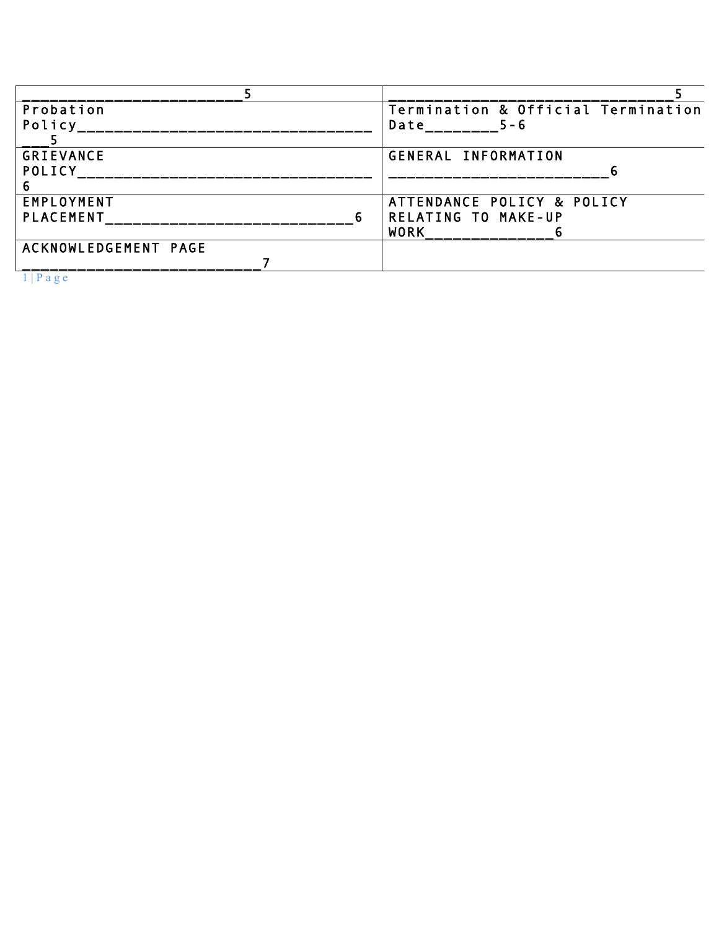| Probation            | Termination & Official Termination |
|----------------------|------------------------------------|
| Policy               | $5 - 6$<br>Date                    |
|                      |                                    |
| <b>GRIEVANCE</b>     | GENERAL INFORMATION                |
| POLICY               |                                    |
|                      |                                    |
| EMPLOYMENT           | ATTENDANCE POLICY & POLICY         |
| <b>PLACEMENT</b>     | <b>RELATING TO MAKE-UP</b>         |
|                      | <b>WORK</b>                        |
| ACKNOWLEDGEMENT PAGE |                                    |
|                      |                                    |
| $1 \cup D$           |                                    |

1 | P a g e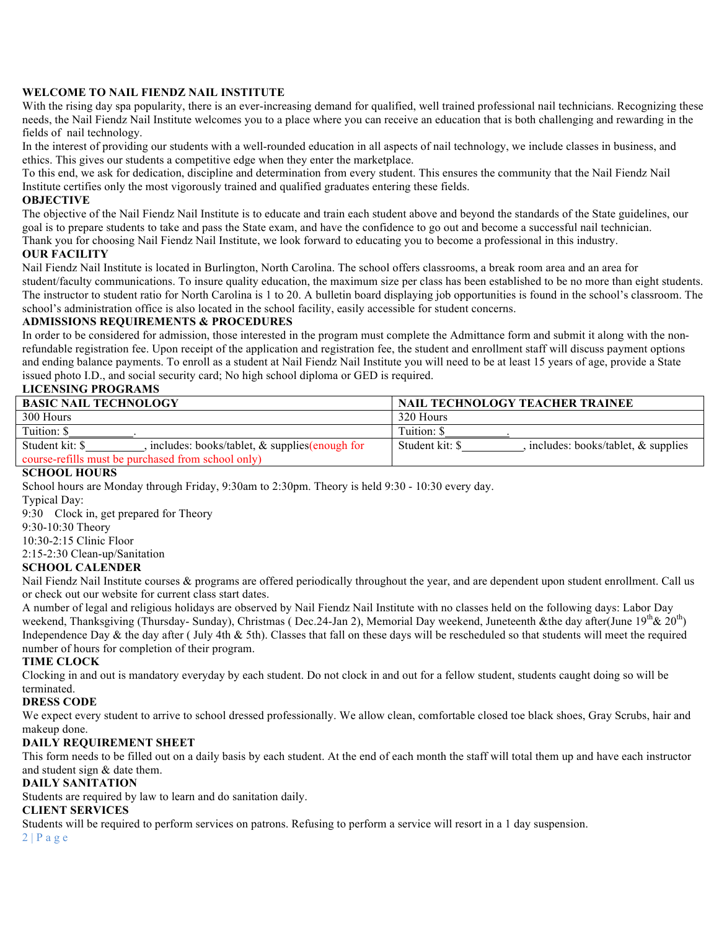### **WELCOME TO NAIL FIENDZ NAIL INSTITUTE**

With the rising day spa popularity, there is an ever-increasing demand for qualified, well trained professional nail technicians. Recognizing these needs, the Nail Fiendz Nail Institute welcomes you to a place where you can receive an education that is both challenging and rewarding in the fields of nail technology.

In the interest of providing our students with a well-rounded education in all aspects of nail technology, we include classes in business, and ethics. This gives our students a competitive edge when they enter the marketplace.

To this end, we ask for dedication, discipline and determination from every student. This ensures the community that the Nail Fiendz Nail Institute certifies only the most vigorously trained and qualified graduates entering these fields.

#### **OBJECTIVE**

The objective of the Nail Fiendz Nail Institute is to educate and train each student above and beyond the standards of the State guidelines, our goal is to prepare students to take and pass the State exam, and have the confidence to go out and become a successful nail technician. Thank you for choosing Nail Fiendz Nail Institute, we look forward to educating you to become a professional in this industry.

#### **OUR FACILITY**

Nail Fiendz Nail Institute is located in Burlington, North Carolina. The school offers classrooms, a break room area and an area for student/faculty communications. To insure quality education, the maximum size per class has been established to be no more than eight students. The instructor to student ratio for North Carolina is 1 to 20. A bulletin board displaying job opportunities is found in the school's classroom. The school's administration office is also located in the school facility, easily accessible for student concerns.

#### **ADMISSIONS REQUIREMENTS & PROCEDURES**

In order to be considered for admission, those interested in the program must complete the Admittance form and submit it along with the nonrefundable registration fee. Upon receipt of the application and registration fee, the student and enrollment staff will discuss payment options and ending balance payments. To enroll as a student at Nail Fiendz Nail Institute you will need to be at least 15 years of age, provide a State issued photo I.D., and social security card; No high school diploma or GED is required.

## **LICENSING PROGRAMS**

| <b>BASIC NAIL TECHNOLOGY</b>                                           | <b>NAIL TECHNOLOGY TEACHER TRAINEE</b>                   |
|------------------------------------------------------------------------|----------------------------------------------------------|
| 300 Hours                                                              | 320 Hours                                                |
| Tuition: \$                                                            | Tuition: \$                                              |
| Student kit: \$<br>, includes: books/tablet, $\&$ supplies (enough for | Student kit: \$<br>includes: books/tablet, $\&$ supplies |
| course-refills must be purchased from school only)                     |                                                          |

#### **SCHOOL HOURS**

School hours are Monday through Friday, 9:30am to 2:30pm. Theory is held 9:30 - 10:30 every day.

Typical Day:

9:30 Clock in, get prepared for Theory

9:30-10:30 Theory

10:30-2:15 Clinic Floor

2:15-2:30 Clean-up/Sanitation

## **SCHOOL CALENDER**

Nail Fiendz Nail Institute courses & programs are offered periodically throughout the year, and are dependent upon student enrollment. Call us or check out our website for current class start dates.

A number of legal and religious holidays are observed by Nail Fiendz Nail Institute with no classes held on the following days: Labor Day weekend, Thanksgiving (Thursday- Sunday), Christmas (Dec.24-Jan 2), Memorial Day weekend, Juneteenth &the day after(June  $19^{th}$ &  $20^{th}$ ) Independence Day  $\&$  the day after (July 4th  $\&$  5th). Classes that fall on these days will be rescheduled so that students will meet the required number of hours for completion of their program.

#### **TIME CLOCK**

Clocking in and out is mandatory everyday by each student. Do not clock in and out for a fellow student, students caught doing so will be terminated.

### **DRESS CODE**

We expect every student to arrive to school dressed professionally. We allow clean, comfortable closed toe black shoes, Gray Scrubs, hair and makeup done.

### **DAILY REQUIREMENT SHEET**

This form needs to be filled out on a daily basis by each student. At the end of each month the staff will total them up and have each instructor and student sign & date them.

#### **DAILY SANITATION**

Students are required by law to learn and do sanitation daily.

# **CLIENT SERVICES**

Students will be required to perform services on patrons. Refusing to perform a service will resort in a 1 day suspension.

 $2 | P a g e$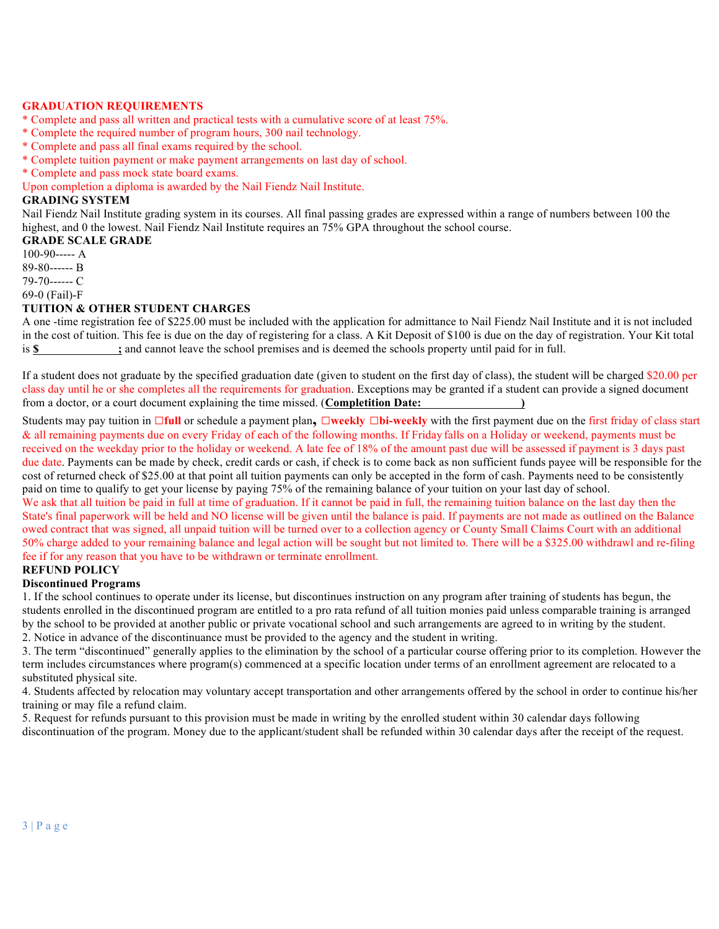#### **GRADUATION REQUIREMENTS**

- \* Complete and pass all written and practical tests with a cumulative score of at least 75%.
- \* Complete the required number of program hours, 300 nail technology.
- \* Complete and pass all final exams required by the school.
- \* Complete tuition payment or make payment arrangements on last day of school.
- \* Complete and pass mock state board exams.

Upon completion a diploma is awarded by the Nail Fiendz Nail Institute.

#### **GRADING SYSTEM**

Nail Fiendz Nail Institute grading system in its courses. All final passing grades are expressed within a range of numbers between 100 the highest, and 0 the lowest. Nail Fiendz Nail Institute requires an 75% GPA throughout the school course.

#### **GRADE SCALE GRADE**

 $100-90--- A$ 

89-80------ B

79-70------ C

69-0 (Fail)-F

## **TUITION & OTHER STUDENT CHARGES**

A one -time registration fee of \$225.00 must be included with the application for admittance to Nail Fiendz Nail Institute and it is not included in the cost of tuition. This fee is due on the day of registering for a class. A Kit Deposit of \$100 is due on the day of registration. Your Kit total is **\$ ;** and cannot leave the school premises and is deemed the schools property until paid for in full.

If a student does not graduate by the specified graduation date (given to student on the first day of class), the student will be charged \$20.00 per class day until he or she completes all the requirements for graduation. Exceptions may be granted if a student can provide a signed document from a doctor, or a court document explaining the time missed. (**Completition Date: )**

Students may pay tuition in **□full** or schedule a payment plan**, □weekly □bi-weekly** with the first payment due on the first friday of class start & all remaining payments due on every Friday of each of the following months. If Friday falls on a Holiday or weekend, payments must be received on the weekday prior to the holiday or weekend. A late fee of 18% of the amount past due will be assessed if payment is 3 days past due date. Payments can be made by check, credit cards or cash, if check is to come back as non sufficient funds payee will be responsible for the cost of returned check of \$25.00 at that point all tuition payments can only be accepted in the form of cash. Payments need to be consistently paid on time to qualify to get your license by paying 75% of the remaining balance of your tuition on your last day of school.

We ask that all tuition be paid in full at time of graduation. If it cannot be paid in full, the remaining tuition balance on the last day then the State's final paperwork will be held and NO license will be given until the balance is paid. If payments are not made as outlined on the Balance owed contract that was signed, all unpaid tuition will be turned over to a collection agency or County Small Claims Court with an additional 50% charge added to your remaining balance and legal action will be sought but not limited to. There will be a \$325.00 withdrawl and re-filing fee if for any reason that you have to be withdrawn or terminate enrollment.

# **REFUND POLICY**

## **Discontinued Programs**

1. If the school continues to operate under its license, but discontinues instruction on any program after training of students has begun, the students enrolled in the discontinued program are entitled to a pro rata refund of all tuition monies paid unless comparable training is arranged by the school to be provided at another public or private vocational school and such arrangements are agreed to in writing by the student. 2. Notice in advance of the discontinuance must be provided to the agency and the student in writing.

3. The term "discontinued" generally applies to the elimination by the school of a particular course offering prior to its completion. However the term includes circumstances where program(s) commenced at a specific location under terms of an enrollment agreement are relocated to a substituted physical site.

4. Students affected by relocation may voluntary accept transportation and other arrangements offered by the school in order to continue his/her training or may file a refund claim.

5. Request for refunds pursuant to this provision must be made in writing by the enrolled student within 30 calendar days following discontinuation of the program. Money due to the applicant/student shall be refunded within 30 calendar days after the receipt of the request.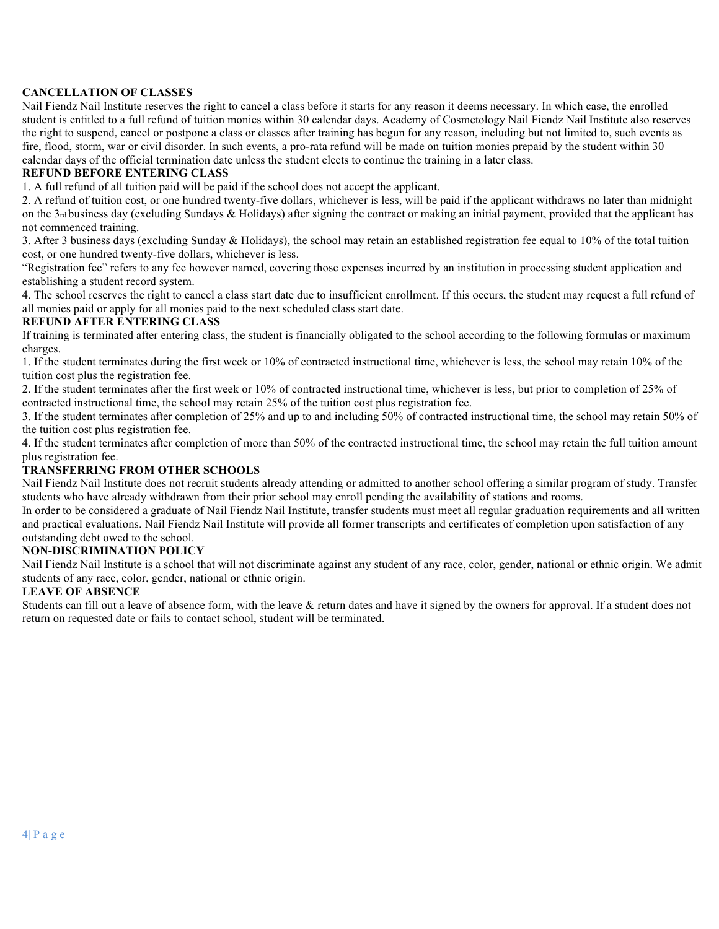## **CANCELLATION OF CLASSES**

Nail Fiendz Nail Institute reserves the right to cancel a class before it starts for any reason it deems necessary. In which case, the enrolled student is entitled to a full refund of tuition monies within 30 calendar days. Academy of Cosmetology Nail Fiendz Nail Institute also reserves the right to suspend, cancel or postpone a class or classes after training has begun for any reason, including but not limited to, such events as fire, flood, storm, war or civil disorder. In such events, a pro-rata refund will be made on tuition monies prepaid by the student within 30 calendar days of the official termination date unless the student elects to continue the training in a later class.

## **REFUND BEFORE ENTERING CLASS**

1. A full refund of all tuition paid will be paid if the school does not accept the applicant.

2. A refund of tuition cost, or one hundred twenty-five dollars, whichever is less, will be paid if the applicant withdraws no later than midnight on the 3rd business day (excluding Sundays & Holidays) after signing the contract or making an initial payment, provided that the applicant has not commenced training.

3. After 3 business days (excluding Sunday & Holidays), the school may retain an established registration fee equal to 10% of the total tuition cost, or one hundred twenty-five dollars, whichever is less.

"Registration fee" refers to any fee however named, covering those expenses incurred by an institution in processing student application and establishing a student record system.

4. The school reserves the right to cancel a class start date due to insufficient enrollment. If this occurs, the student may request a full refund of all monies paid or apply for all monies paid to the next scheduled class start date.

### **REFUND AFTER ENTERING CLASS**

If training is terminated after entering class, the student is financially obligated to the school according to the following formulas or maximum charges.

1. If the student terminates during the first week or 10% of contracted instructional time, whichever is less, the school may retain 10% of the tuition cost plus the registration fee.

2. If the student terminates after the first week or 10% of contracted instructional time, whichever is less, but prior to completion of 25% of contracted instructional time, the school may retain 25% of the tuition cost plus registration fee.

3. If the student terminates after completion of 25% and up to and including 50% of contracted instructional time, the school may retain 50% of the tuition cost plus registration fee.

4. If the student terminates after completion of more than 50% of the contracted instructional time, the school may retain the full tuition amount plus registration fee.

### **TRANSFERRING FROM OTHER SCHOOLS**

Nail Fiendz Nail Institute does not recruit students already attending or admitted to another school offering a similar program of study. Transfer students who have already withdrawn from their prior school may enroll pending the availability of stations and rooms.

In order to be considered a graduate of Nail Fiendz Nail Institute, transfer students must meet all regular graduation requirements and all written and practical evaluations. Nail Fiendz Nail Institute will provide all former transcripts and certificates of completion upon satisfaction of any outstanding debt owed to the school.

### **NON-DISCRIMINATION POLICY**

Nail Fiendz Nail Institute is a school that will not discriminate against any student of any race, color, gender, national or ethnic origin. We admit students of any race, color, gender, national or ethnic origin.

### **LEAVE OF ABSENCE**

Students can fill out a leave of absence form, with the leave & return dates and have it signed by the owners for approval. If a student does not return on requested date or fails to contact school, student will be terminated.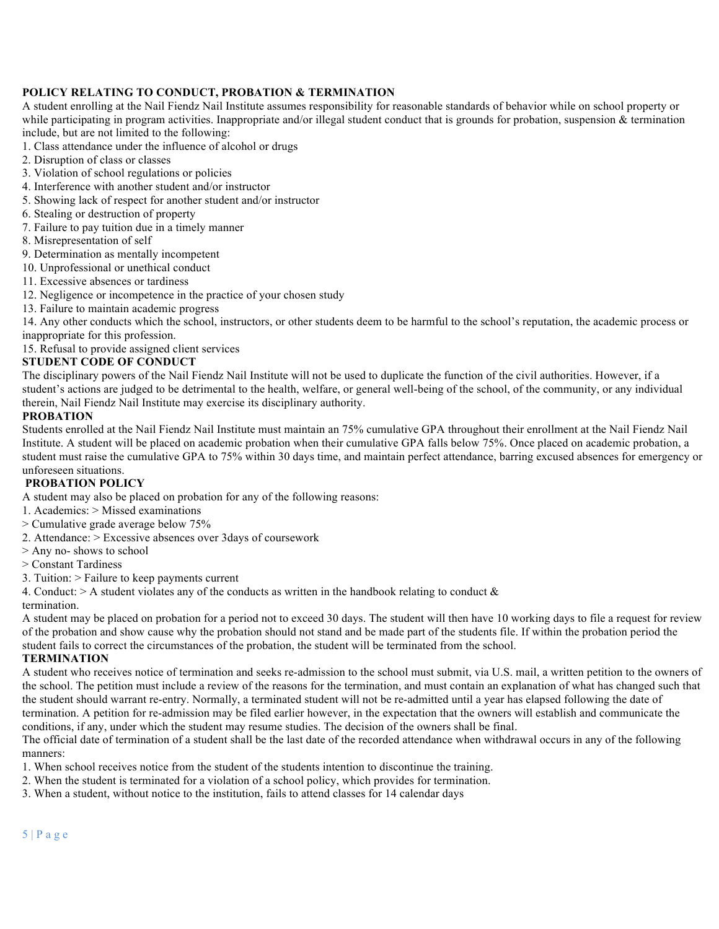## **POLICY RELATING TO CONDUCT, PROBATION & TERMINATION**

A student enrolling at the Nail Fiendz Nail Institute assumes responsibility for reasonable standards of behavior while on school property or while participating in program activities. Inappropriate and/or illegal student conduct that is grounds for probation, suspension  $\&$  termination include, but are not limited to the following:

- 1. Class attendance under the influence of alcohol or drugs
- 2. Disruption of class or classes
- 3. Violation of school regulations or policies
- 4. Interference with another student and/or instructor
- 5. Showing lack of respect for another student and/or instructor
- 6. Stealing or destruction of property
- 7. Failure to pay tuition due in a timely manner
- 8. Misrepresentation of self
- 9. Determination as mentally incompetent
- 10. Unprofessional or unethical conduct
- 11. Excessive absences or tardiness
- 12. Negligence or incompetence in the practice of your chosen study
- 13. Failure to maintain academic progress

14. Any other conducts which the school, instructors, or other students deem to be harmful to the school's reputation, the academic process or inappropriate for this profession.

15. Refusal to provide assigned client services

## **STUDENT CODE OF CONDUCT**

The disciplinary powers of the Nail Fiendz Nail Institute will not be used to duplicate the function of the civil authorities. However, if a student's actions are judged to be detrimental to the health, welfare, or general well-being of the school, of the community, or any individual therein, Nail Fiendz Nail Institute may exercise its disciplinary authority.

#### **PROBATION**

Students enrolled at the Nail Fiendz Nail Institute must maintain an 75% cumulative GPA throughout their enrollment at the Nail Fiendz Nail Institute. A student will be placed on academic probation when their cumulative GPA falls below 75%. Once placed on academic probation, a student must raise the cumulative GPA to 75% within 30 days time, and maintain perfect attendance, barring excused absences for emergency or unforeseen situations.

## **PROBATION POLICY**

A student may also be placed on probation for any of the following reasons:

- 1. Academics: > Missed examinations
- > Cumulative grade average below 75%
- 2. Attendance: > Excessive absences over 3days of coursework
- > Any no- shows to school
- > Constant Tardiness
- 3. Tuition: > Failure to keep payments current

4. Conduct:  $> A$  student violates any of the conducts as written in the handbook relating to conduct  $\&$ 

termination.

A student may be placed on probation for a period not to exceed 30 days. The student will then have 10 working days to file a request for review of the probation and show cause why the probation should not stand and be made part of the students file. If within the probation period the student fails to correct the circumstances of the probation, the student will be terminated from the school.

## **TERMINATION**

A student who receives notice of termination and seeks re-admission to the school must submit, via U.S. mail, a written petition to the owners of the school. The petition must include a review of the reasons for the termination, and must contain an explanation of what has changed such that the student should warrant re-entry. Normally, a terminated student will not be re-admitted until a year has elapsed following the date of termination. A petition for re-admission may be filed earlier however, in the expectation that the owners will establish and communicate the conditions, if any, under which the student may resume studies. The decision of the owners shall be final.

The official date of termination of a student shall be the last date of the recorded attendance when withdrawal occurs in any of the following manners:

- 1. When school receives notice from the student of the students intention to discontinue the training.
- 2. When the student is terminated for a violation of a school policy, which provides for termination.
- 3. When a student, without notice to the institution, fails to attend classes for 14 calendar days